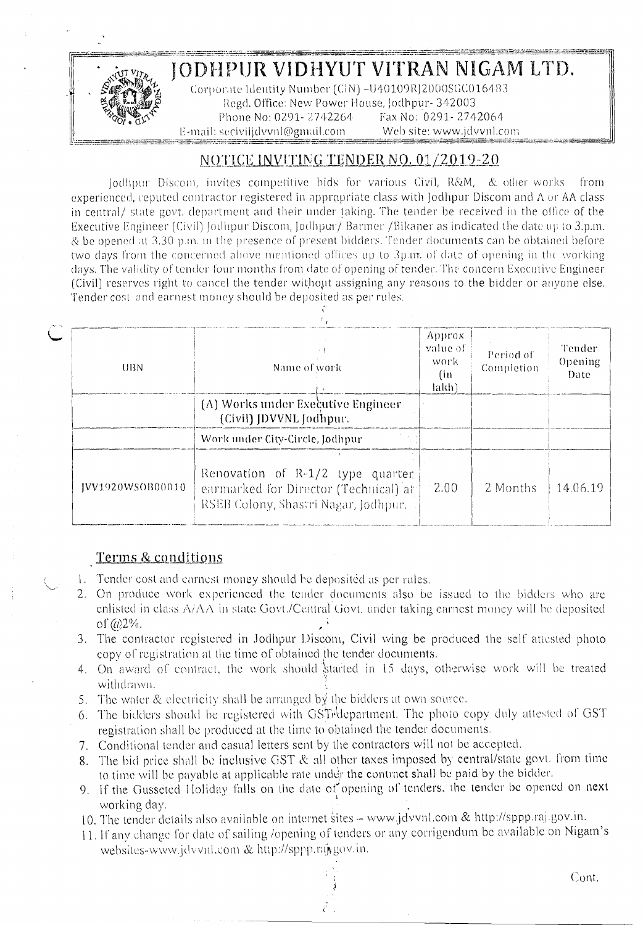

## JODHPUR VIDHYUT VITRAN NIGAM LTD.

Corporate Identity Number (CIN) -U40109RJ2000SGC016483 &egd. Office: New Power House, Jodhpur- 342003<br>Phone No: 0291- 2742264 Fax No: 0291- 2742064 *~<7~~).t\'\* Phone No: 0291- /'/,12264 Fax No: 0291- 2742061\ E-mail: secivilidvvnl@gmail.com Web site: [www.jdvvnl.com](http://www.jdvvnl.com) ~==.~==':~~~:::~~~~~~::'::~=::='~:7:::::::.~"?::~::::.~:-?~~,~=~:;:::·::'::=~-::::~~~.:~--=-~===:~~~~==-==..=--=~:==~:==~~:.~:2~-~~:::.=~~-~~-~~==-\_-:-===\_.

## $N$ OTICE *INVITING TENDER NO. 01/2019-20*

[odhpur Discom, invites competitive bids for various Civil, R&M, & other works from experienced, reputed contractor registered in appropriate class with Jodhpur Discom and A or AA class in central/ state govt. department and their under taking. The tender be received in the office of the Executive Engineer (Civil) [odhpur Discom, Jodhpur/ Barmer /Bikaner as indicated the date up to 3.p.m.  $\&$  be opened at 3.30 p.m. in the presence of present bidders. Tender documents can be obtained before: two days from the concerned above mentioned offices up to 3p.m. of date of opening in the working days. The validity of tender four months from date of opening of tender. The concern Executive Engineer *(Civil)* reserves right to cancel the tender without assigning any reasons to the bidder or anyone else. Tender cost and earnest money should be deposited as per rules.

| UBN.              | Name of work                                                                                                        | Approx<br>value of<br>work<br>(in<br>lakh) | Period of<br>Completion | Tender<br>Opening<br>Date |
|-------------------|---------------------------------------------------------------------------------------------------------------------|--------------------------------------------|-------------------------|---------------------------|
|                   | (A) Works under Executive Engineer<br>(Civil) JDVVNL Jodhpur.                                                       |                                            |                         |                           |
|                   | Work under City-Circle, Jodhpur                                                                                     |                                            |                         |                           |
| [VV1920WSOB00010] | Renovation of R-1/2 type quarter<br>earmarked for Director (Technical) at ]<br>RSEB Colony, Shastri Nagar, Jodhpur. | $-2.00$                                    | 2 Months                | 14.06.19                  |

## Terms & conditions

- 1. Tender cost and earnest money should be deposited as per rules.
- 2. On produce work experienced the tender documents also be issued to the bidders who arc enlisted in class  $A/\Delta\Lambda$  in state Govt./Central Govt. under taking earnest money will be deposited  $of$   $@2\%$ .
- 3. The contractor registered in Jodhpur Discom, Civil wing be produced the self attested photo copy of registration at the time of obtained the tender documents,
- 4. On award of contract, the work should started in 15 days, otherwise work will be treated withdrawn.
- 5. The water & electricity shall be arranged by the bidders at own source.
- 6. The bidders should be registered with GSTrdepartment. The photo copy duly attested of GST registration shall be produced at the time to obtained the tender documents.
- 7. Conditional tender and casual letters sent by the contractors will not be accepted.
- 8. The bid price shall be inclusive GST & all other taxes imposed by central/state govt. from time to time will be payable at applicable rate under the contract shall be paid by the bidder.
- 9. If the Gusseted Holiday falls on the date of opening of tenders, the tender be opened on next working day.
- 10. The tender details also available on internet sites- [www.jdvvnl.com](http://www.jdvvnl.com) & http://sppp.ra).gov.in.
- 11. If any change for date of sailing /opening of tenders or any corrigendum be available on Nigam's websites-www.jdvvnl.com & http://sppp.raj.gov.in.